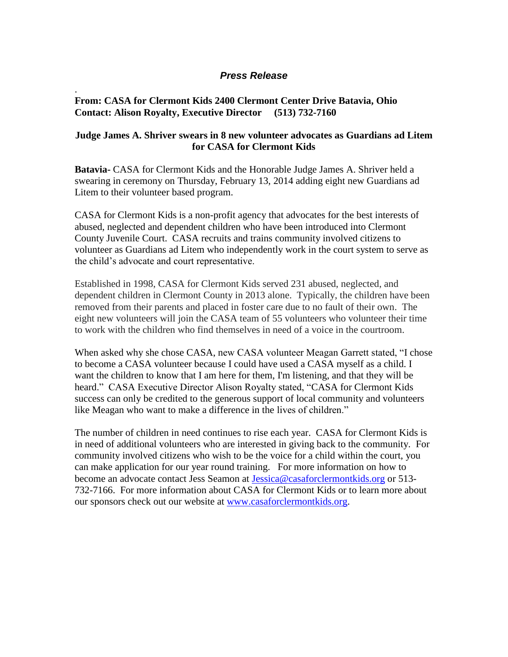## *Press Release*

## **From: CASA for Clermont Kids 2400 Clermont Center Drive Batavia, Ohio Contact: Alison Royalty, Executive Director (513) 732-7160**

.

## **Judge James A. Shriver swears in 8 new volunteer advocates as Guardians ad Litem for CASA for Clermont Kids**

**Batavia-** CASA for Clermont Kids and the Honorable Judge James A. Shriver held a swearing in ceremony on Thursday, February 13, 2014 adding eight new Guardians ad Litem to their volunteer based program.

CASA for Clermont Kids is a non-profit agency that advocates for the best interests of abused, neglected and dependent children who have been introduced into Clermont County Juvenile Court. CASA recruits and trains community involved citizens to volunteer as Guardians ad Litem who independently work in the court system to serve as the child's advocate and court representative.

Established in 1998, CASA for Clermont Kids served 231 abused, neglected, and dependent children in Clermont County in 2013 alone. Typically, the children have been removed from their parents and placed in foster care due to no fault of their own. The eight new volunteers will join the CASA team of 55 volunteers who volunteer their time to work with the children who find themselves in need of a voice in the courtroom.

When asked why she chose CASA, new CASA volunteer Meagan Garrett stated, "I chose to become a CASA volunteer because I could have used a CASA myself as a child. I want the children to know that I am here for them, I'm listening, and that they will be heard." CASA Executive Director Alison Royalty stated, "CASA for Clermont Kids success can only be credited to the generous support of local community and volunteers like Meagan who want to make a difference in the lives of children."

The number of children in need continues to rise each year. CASA for Clermont Kids is in need of additional volunteers who are interested in giving back to the community. For community involved citizens who wish to be the voice for a child within the court, you can make application for our year round training. For more information on how to become an advocate contact Jess Seamon at [Jessica@casaforclermontkids.org](mailto:Jessica@casaforclermontkids.org) or 513- 732-7166. For more information about CASA for Clermont Kids or to learn more about our sponsors check out our website at [www.casaforclermontkids.org.](http://www.casaforclermontkids.org/)